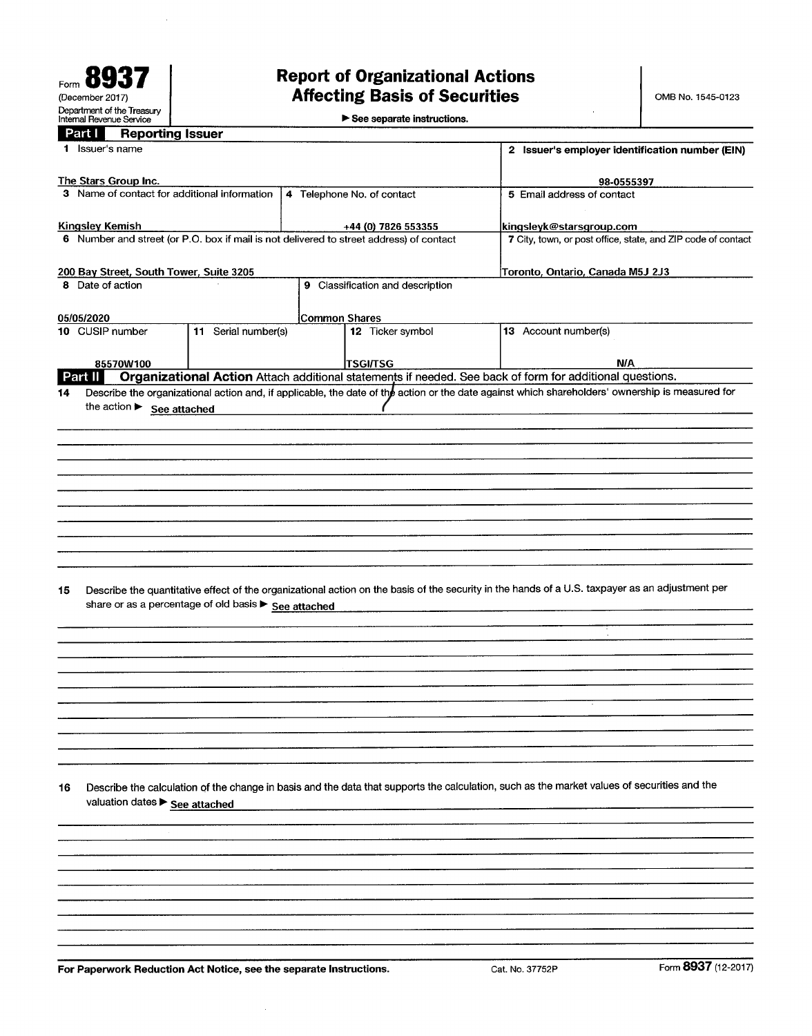See separate instructions.

| Part I |  | <b>Reporting Issuer</b> |
|--------|--|-------------------------|
|        |  |                         |

÷.

| <b>Reporting Issuer</b><br>Part I                                                       |                                                      |                            |                                  |                                                                                                                                                 |                     |
|-----------------------------------------------------------------------------------------|------------------------------------------------------|----------------------------|----------------------------------|-------------------------------------------------------------------------------------------------------------------------------------------------|---------------------|
| 1 Issuer's name                                                                         |                                                      |                            |                                  | 2 Issuer's employer identification number (EIN)                                                                                                 |                     |
| The Stars Group Inc.                                                                    |                                                      |                            |                                  | 98-0555397                                                                                                                                      |                     |
| 3 Name of contact for additional information                                            |                                                      | 4 Telephone No. of contact |                                  | 5 Email address of contact                                                                                                                      |                     |
|                                                                                         |                                                      |                            |                                  |                                                                                                                                                 |                     |
| <b>Kingsley Kemish</b>                                                                  |                                                      |                            | +44 (0) 7826 553355              | kingsleyk@starsgroup.com                                                                                                                        |                     |
| 6 Number and street (or P.O. box if mail is not delivered to street address) of contact |                                                      |                            |                                  | 7 City, town, or post office, state, and ZIP code of contact                                                                                    |                     |
|                                                                                         |                                                      |                            |                                  |                                                                                                                                                 |                     |
| 200 Bay Street, South Tower, Suite 3205                                                 |                                                      |                            |                                  | Toronto, Ontario, Canada M5J 2J3                                                                                                                |                     |
| 8 Date of action                                                                        |                                                      |                            | 9 Classification and description |                                                                                                                                                 |                     |
|                                                                                         |                                                      |                            |                                  |                                                                                                                                                 |                     |
| 05/05/2020                                                                              |                                                      | <b>Common Shares</b>       |                                  |                                                                                                                                                 |                     |
| 10 CUSIP number                                                                         | 11 Serial number(s)                                  |                            | 12 Ticker symbol                 | 13 Account number(s)                                                                                                                            |                     |
|                                                                                         |                                                      |                            |                                  |                                                                                                                                                 |                     |
| 85570W100<br>Part II                                                                    |                                                      |                            | <b>TSGI/TSG</b>                  | N/A<br>Organizational Action Attach additional statements if needed. See back of form for additional questions.                                 |                     |
| 14                                                                                      |                                                      |                            |                                  | Describe the organizational action and, if applicable, the date of the action or the date against which shareholders' ownership is measured for |                     |
|                                                                                         |                                                      |                            |                                  |                                                                                                                                                 |                     |
| the action > See attached                                                               |                                                      |                            |                                  |                                                                                                                                                 |                     |
|                                                                                         |                                                      |                            |                                  |                                                                                                                                                 |                     |
|                                                                                         |                                                      |                            |                                  |                                                                                                                                                 |                     |
|                                                                                         |                                                      |                            |                                  |                                                                                                                                                 |                     |
|                                                                                         |                                                      |                            |                                  |                                                                                                                                                 |                     |
|                                                                                         |                                                      |                            |                                  |                                                                                                                                                 |                     |
|                                                                                         |                                                      |                            |                                  |                                                                                                                                                 |                     |
|                                                                                         |                                                      |                            |                                  |                                                                                                                                                 |                     |
|                                                                                         |                                                      |                            |                                  |                                                                                                                                                 |                     |
|                                                                                         |                                                      |                            |                                  |                                                                                                                                                 |                     |
|                                                                                         |                                                      |                            |                                  |                                                                                                                                                 |                     |
|                                                                                         |                                                      |                            |                                  |                                                                                                                                                 |                     |
|                                                                                         |                                                      |                            |                                  |                                                                                                                                                 |                     |
|                                                                                         |                                                      |                            |                                  |                                                                                                                                                 |                     |
|                                                                                         |                                                      |                            |                                  |                                                                                                                                                 |                     |
| 15                                                                                      |                                                      |                            |                                  | Describe the quantitative effect of the organizational action on the basis of the security in the hands of a U.S. taxpayer as an adjustment per |                     |
|                                                                                         |                                                      |                            |                                  |                                                                                                                                                 |                     |
|                                                                                         | share or as a percentage of old basis > See attached |                            |                                  |                                                                                                                                                 |                     |
|                                                                                         |                                                      |                            |                                  |                                                                                                                                                 |                     |
|                                                                                         |                                                      |                            |                                  |                                                                                                                                                 |                     |
|                                                                                         |                                                      |                            |                                  |                                                                                                                                                 |                     |
|                                                                                         |                                                      |                            |                                  |                                                                                                                                                 |                     |
|                                                                                         |                                                      |                            |                                  |                                                                                                                                                 |                     |
|                                                                                         |                                                      |                            |                                  |                                                                                                                                                 |                     |
|                                                                                         |                                                      |                            |                                  |                                                                                                                                                 |                     |
|                                                                                         |                                                      |                            |                                  |                                                                                                                                                 |                     |
|                                                                                         |                                                      |                            |                                  |                                                                                                                                                 |                     |
|                                                                                         |                                                      |                            |                                  |                                                                                                                                                 |                     |
|                                                                                         |                                                      |                            |                                  |                                                                                                                                                 |                     |
|                                                                                         |                                                      |                            |                                  |                                                                                                                                                 |                     |
|                                                                                         |                                                      |                            |                                  |                                                                                                                                                 |                     |
| 16                                                                                      |                                                      |                            |                                  | Describe the calculation of the change in basis and the data that supports the calculation, such as the market values of securities and the     |                     |
|                                                                                         |                                                      |                            |                                  |                                                                                                                                                 |                     |
| valuation dates > See attached                                                          |                                                      |                            |                                  |                                                                                                                                                 |                     |
|                                                                                         |                                                      |                            |                                  |                                                                                                                                                 |                     |
|                                                                                         |                                                      |                            |                                  |                                                                                                                                                 |                     |
|                                                                                         |                                                      |                            |                                  |                                                                                                                                                 |                     |
|                                                                                         |                                                      |                            |                                  |                                                                                                                                                 |                     |
|                                                                                         |                                                      |                            |                                  |                                                                                                                                                 |                     |
|                                                                                         |                                                      |                            |                                  |                                                                                                                                                 |                     |
|                                                                                         |                                                      |                            |                                  |                                                                                                                                                 |                     |
|                                                                                         |                                                      |                            |                                  |                                                                                                                                                 |                     |
|                                                                                         |                                                      |                            |                                  |                                                                                                                                                 |                     |
|                                                                                         |                                                      |                            |                                  |                                                                                                                                                 |                     |
|                                                                                         |                                                      |                            |                                  |                                                                                                                                                 |                     |
| For Paperwork Reduction Act Notice, see the separate Instructions.                      |                                                      |                            |                                  | Cat. No. 37752P                                                                                                                                 | Form 8937 (12-2017) |

 $\hat{\boldsymbol{\gamma}}$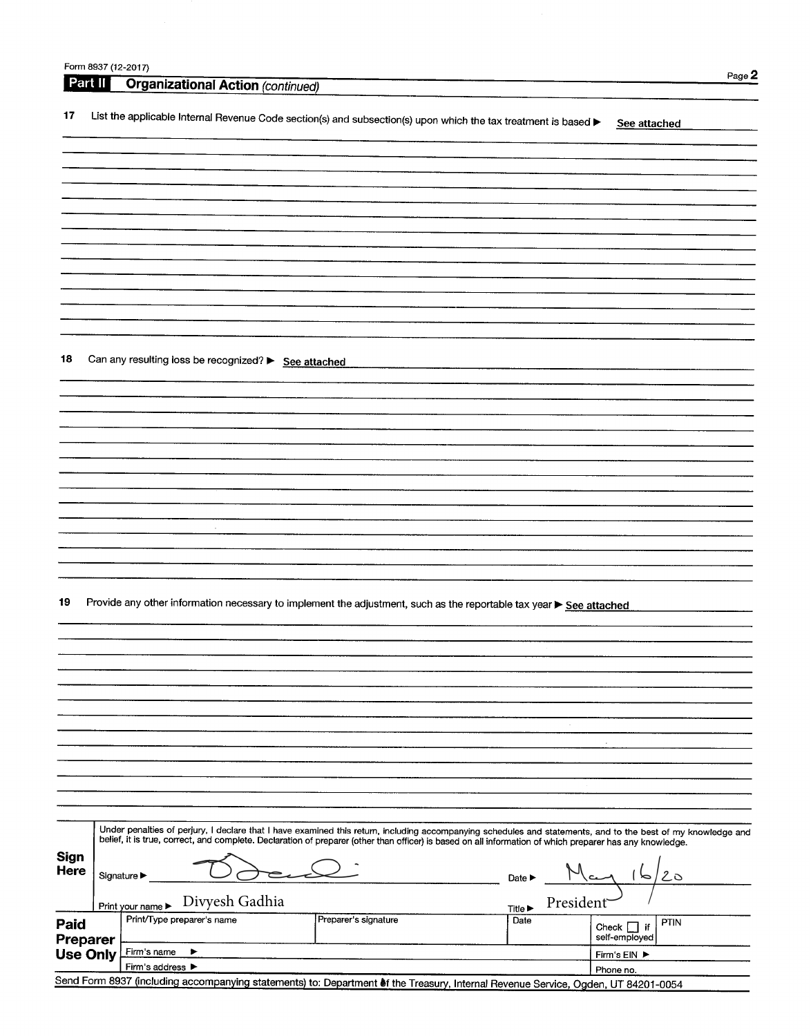|                            | Form 8937 (12-2017) |                                                                                                                                                              |           |                                          |
|----------------------------|---------------------|--------------------------------------------------------------------------------------------------------------------------------------------------------------|-----------|------------------------------------------|
| Part II                    |                     | <b>Organizational Action (continued)</b>                                                                                                                     |           | Page 2                                   |
| 17                         |                     | List the applicable Internal Revenue Code section(s) and subsection(s) upon which the tax treatment is based                                                 |           | See attached                             |
|                            |                     |                                                                                                                                                              |           |                                          |
|                            |                     |                                                                                                                                                              |           |                                          |
|                            |                     |                                                                                                                                                              |           |                                          |
|                            |                     |                                                                                                                                                              |           |                                          |
|                            |                     |                                                                                                                                                              |           |                                          |
|                            |                     |                                                                                                                                                              |           |                                          |
|                            |                     |                                                                                                                                                              |           |                                          |
|                            |                     |                                                                                                                                                              |           |                                          |
|                            |                     |                                                                                                                                                              |           |                                          |
|                            |                     |                                                                                                                                                              |           |                                          |
| 18                         |                     | Can any resulting loss be recognized? > See attached                                                                                                         |           |                                          |
|                            |                     |                                                                                                                                                              |           |                                          |
|                            |                     |                                                                                                                                                              |           |                                          |
|                            |                     |                                                                                                                                                              |           |                                          |
|                            |                     |                                                                                                                                                              |           |                                          |
|                            |                     |                                                                                                                                                              |           |                                          |
|                            |                     |                                                                                                                                                              |           |                                          |
|                            |                     |                                                                                                                                                              |           |                                          |
|                            |                     |                                                                                                                                                              |           |                                          |
|                            |                     | $\sim$                                                                                                                                                       |           |                                          |
|                            |                     |                                                                                                                                                              |           |                                          |
|                            |                     |                                                                                                                                                              |           |                                          |
| 19                         |                     | Provide any other information necessary to implement the adjustment, such as the reportable tax year ▶ See attached                                          |           |                                          |
|                            |                     |                                                                                                                                                              |           |                                          |
|                            |                     |                                                                                                                                                              |           |                                          |
|                            |                     |                                                                                                                                                              |           |                                          |
|                            |                     |                                                                                                                                                              |           |                                          |
|                            |                     |                                                                                                                                                              |           |                                          |
|                            |                     |                                                                                                                                                              |           |                                          |
|                            |                     |                                                                                                                                                              |           |                                          |
|                            |                     |                                                                                                                                                              |           |                                          |
|                            |                     |                                                                                                                                                              |           |                                          |
|                            |                     |                                                                                                                                                              |           |                                          |
|                            |                     | Under penalties of perjury, I declare that I have examined this return, including accompanying schedules and statements, and to the best of my knowledge and |           |                                          |
|                            |                     | belief, it is true, correct, and complete. Declaration of preparer (other than officer) is based on all information of which preparer has any knowledge.     |           |                                          |
| <b>Sign</b><br><b>Here</b> |                     |                                                                                                                                                              |           |                                          |
|                            |                     | Signature $\blacktriangleright$<br>Date $\blacktriangleright$                                                                                                |           | 20<br>⊳                                  |
|                            |                     | Divyesh Gadhia<br>Print your name ▶<br><b>Title ▶</b>                                                                                                        | President |                                          |
| Paid<br>Preparer           |                     | Print/Type preparer's name<br>Preparer's signature<br>Date                                                                                                   |           | PTIN<br>Check $\Box$ if<br>self-employed |
| <b>Use Only</b>            |                     | Firm's name<br>▶                                                                                                                                             |           | Firm's EIN ▶                             |
|                            |                     | Firm's address $\blacktriangleright$                                                                                                                         |           | Phone no.                                |

Phone no. Send Form 8937 (including accompanying statements) to: Department of the Treasury, Internal Revenue Service, Ogden, UT 84201-0054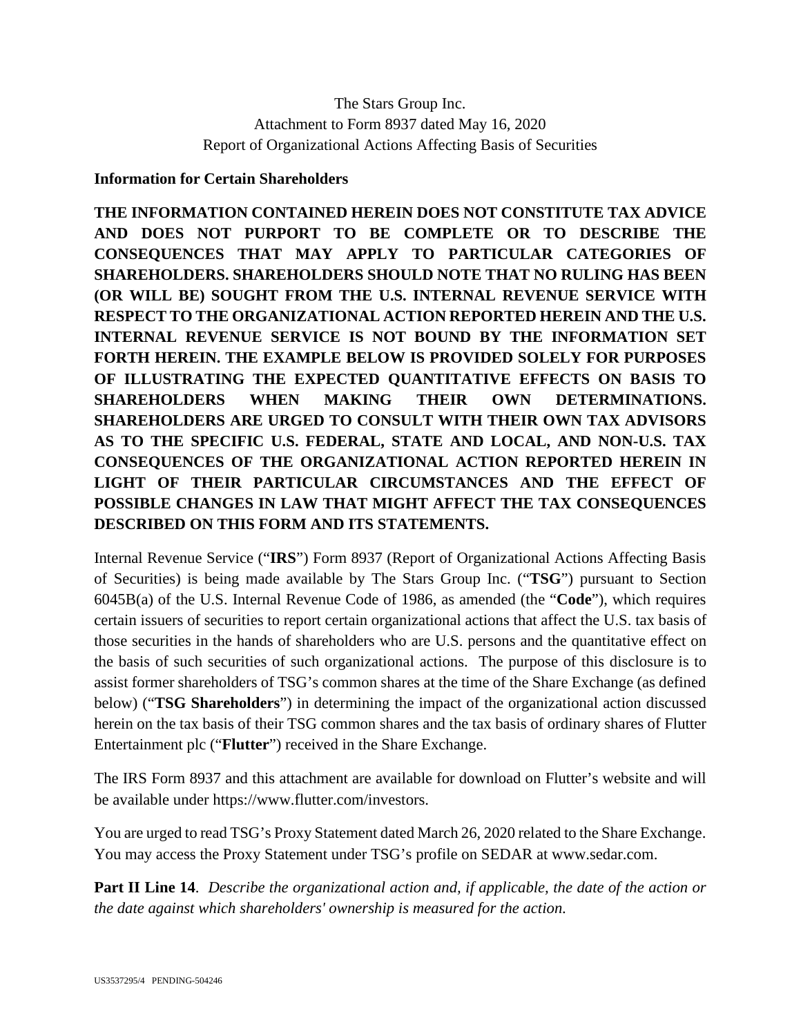## The Stars Group Inc. Attachment to Form 8937 dated May 16, 2020 Report of Organizational Actions Affecting Basis of Securities

## **Information for Certain Shareholders**

**THE INFORMATION CONTAINED HEREIN DOES NOT CONSTITUTE TAX ADVICE AND DOES NOT PURPORT TO BE COMPLETE OR TO DESCRIBE THE CONSEQUENCES THAT MAY APPLY TO PARTICULAR CATEGORIES OF SHAREHOLDERS. SHAREHOLDERS SHOULD NOTE THAT NO RULING HAS BEEN (OR WILL BE) SOUGHT FROM THE U.S. INTERNAL REVENUE SERVICE WITH RESPECT TO THE ORGANIZATIONAL ACTION REPORTED HEREIN AND THE U.S. INTERNAL REVENUE SERVICE IS NOT BOUND BY THE INFORMATION SET FORTH HEREIN. THE EXAMPLE BELOW IS PROVIDED SOLELY FOR PURPOSES OF ILLUSTRATING THE EXPECTED QUANTITATIVE EFFECTS ON BASIS TO SHAREHOLDERS WHEN MAKING THEIR OWN DETERMINATIONS. SHAREHOLDERS ARE URGED TO CONSULT WITH THEIR OWN TAX ADVISORS AS TO THE SPECIFIC U.S. FEDERAL, STATE AND LOCAL, AND NON-U.S. TAX CONSEQUENCES OF THE ORGANIZATIONAL ACTION REPORTED HEREIN IN LIGHT OF THEIR PARTICULAR CIRCUMSTANCES AND THE EFFECT OF POSSIBLE CHANGES IN LAW THAT MIGHT AFFECT THE TAX CONSEQUENCES DESCRIBED ON THIS FORM AND ITS STATEMENTS.** 

Internal Revenue Service ("**IRS**") Form 8937 (Report of Organizational Actions Affecting Basis of Securities) is being made available by The Stars Group Inc. ("**TSG**") pursuant to Section 6045B(a) of the U.S. Internal Revenue Code of 1986, as amended (the "**Code**"), which requires certain issuers of securities to report certain organizational actions that affect the U.S. tax basis of those securities in the hands of shareholders who are U.S. persons and the quantitative effect on the basis of such securities of such organizational actions. The purpose of this disclosure is to assist former shareholders of TSG's common shares at the time of the Share Exchange (as defined below) ("**TSG Shareholders**") in determining the impact of the organizational action discussed herein on the tax basis of their TSG common shares and the tax basis of ordinary shares of Flutter Entertainment plc ("**Flutter**") received in the Share Exchange.

The IRS Form 8937 and this attachment are available for download on Flutter's website and will be available under https://www.flutter.com/investors.

You are urged to read TSG's Proxy Statement dated March 26, 2020 related to the Share Exchange. You may access the Proxy Statement under TSG's profile on SEDAR at www.sedar.com.

**Part II Line 14**. *Describe the organizational action and, if applicable, the date of the action or the date against which shareholders' ownership is measured for the action*.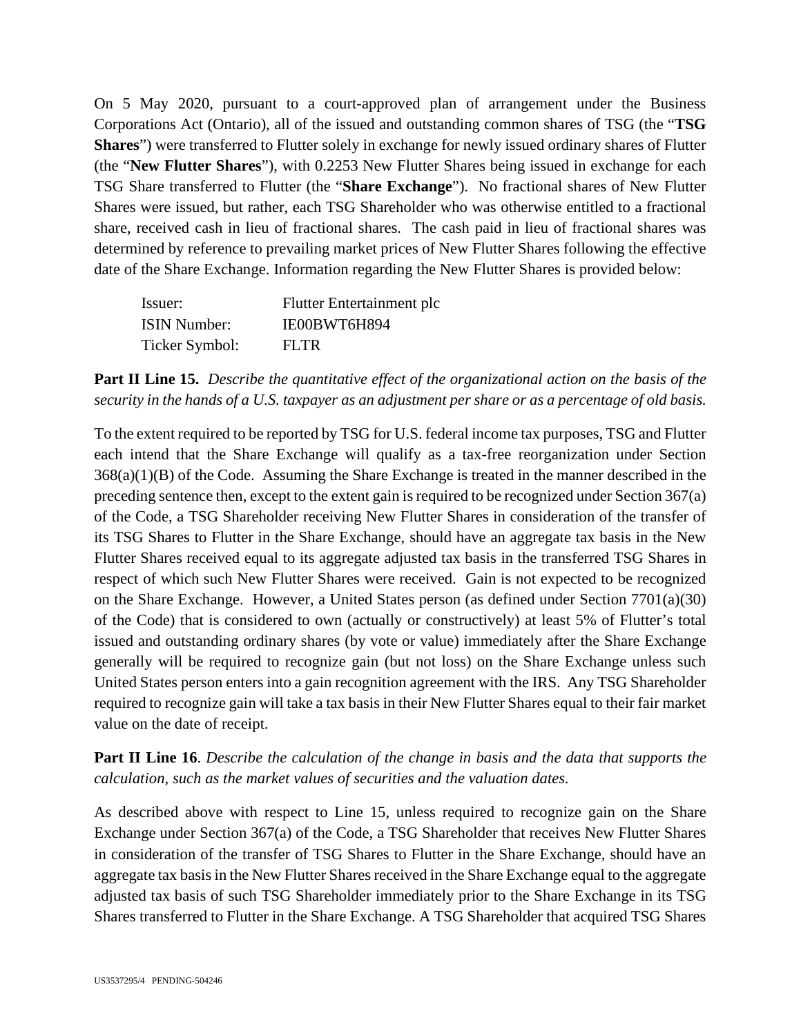On 5 May 2020, pursuant to a court-approved plan of arrangement under the Business Corporations Act (Ontario), all of the issued and outstanding common shares of TSG (the "**TSG Shares**") were transferred to Flutter solely in exchange for newly issued ordinary shares of Flutter (the "**New Flutter Shares**"), with 0.2253 New Flutter Shares being issued in exchange for each TSG Share transferred to Flutter (the "**Share Exchange**"). No fractional shares of New Flutter Shares were issued, but rather, each TSG Shareholder who was otherwise entitled to a fractional share, received cash in lieu of fractional shares. The cash paid in lieu of fractional shares was determined by reference to prevailing market prices of New Flutter Shares following the effective date of the Share Exchange. Information regarding the New Flutter Shares is provided below:

| Issuer:             | Flutter Entertainment plc |
|---------------------|---------------------------|
| <b>ISIN Number:</b> | IE00BWT6H894              |
| Ticker Symbol:      | FLTR.                     |

**Part II Line 15.** *Describe the quantitative effect of the organizational action on the basis of the security in the hands of a U.S. taxpayer as an adjustment per share or as a percentage of old basis.*

To the extent required to be reported by TSG for U.S. federal income tax purposes, TSG and Flutter each intend that the Share Exchange will qualify as a tax-free reorganization under Section 368(a)(1)(B) of the Code. Assuming the Share Exchange is treated in the manner described in the preceding sentence then, except to the extent gain is required to be recognized under Section 367(a) of the Code, a TSG Shareholder receiving New Flutter Shares in consideration of the transfer of its TSG Shares to Flutter in the Share Exchange, should have an aggregate tax basis in the New Flutter Shares received equal to its aggregate adjusted tax basis in the transferred TSG Shares in respect of which such New Flutter Shares were received. Gain is not expected to be recognized on the Share Exchange. However, a United States person (as defined under Section 7701(a)(30) of the Code) that is considered to own (actually or constructively) at least 5% of Flutter's total issued and outstanding ordinary shares (by vote or value) immediately after the Share Exchange generally will be required to recognize gain (but not loss) on the Share Exchange unless such United States person enters into a gain recognition agreement with the IRS. Any TSG Shareholder required to recognize gain will take a tax basis in their New Flutter Shares equal to their fair market value on the date of receipt.

**Part II Line 16**. *Describe the calculation of the change in basis and the data that supports the calculation, such as the market values of securities and the valuation dates.*

As described above with respect to Line 15, unless required to recognize gain on the Share Exchange under Section 367(a) of the Code, a TSG Shareholder that receives New Flutter Shares in consideration of the transfer of TSG Shares to Flutter in the Share Exchange, should have an aggregate tax basis in the New Flutter Shares received in the Share Exchange equal to the aggregate adjusted tax basis of such TSG Shareholder immediately prior to the Share Exchange in its TSG Shares transferred to Flutter in the Share Exchange. A TSG Shareholder that acquired TSG Shares